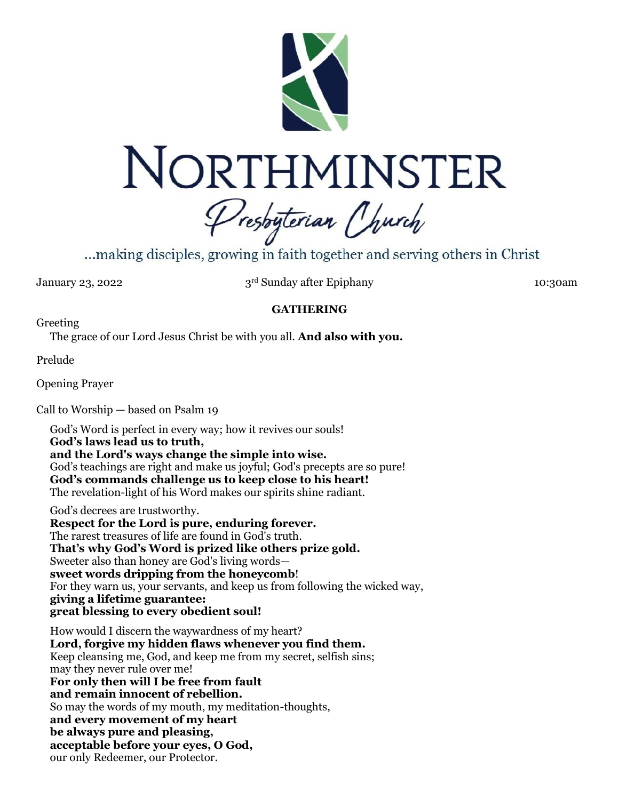

# NORTHMINSTER

Presbyterian Church

...making disciples, growing in faith together and serving others in Christ.

January 23, 2022

3rd Sunday after Epiphany 10:30am

# **GATHERING**

Greeting

The grace of our Lord Jesus Christ be with you all. **And also with you.**

Prelude

Opening Prayer

Call to Worship — based on Psalm 19

God's Word is perfect in every way; how it revives our souls! **God's laws lead us to truth, and the Lord's ways change the simple into wise.** God's teachings are right and make us joyful; God's precepts are so pure! **God's commands challenge us to keep close to his heart!** The revelation-light of his Word makes our spirits shine radiant.

God's decrees are trustworthy.

**Respect for the Lord is pure, enduring forever.** The rarest treasures of life are found in God's truth. **That's why God's Word is prized like others prize gold.** Sweeter also than honey are God's living words **sweet words dripping from the honeycomb**! For they warn us, your servants, and keep us from following the wicked way, **giving a lifetime guarantee: great blessing to every obedient soul!**

How would I discern the waywardness of my heart? **Lord, forgive my hidden flaws whenever you find them.** Keep cleansing me, God, and keep me from my secret, selfish sins; may they never rule over me! **For only then will I be free from fault and remain innocent of rebellion.** So may the words of my mouth, my meditation-thoughts, **and every movement of my heart be always pure and pleasing, acceptable before your eyes, O God,** our only Redeemer, our Protector.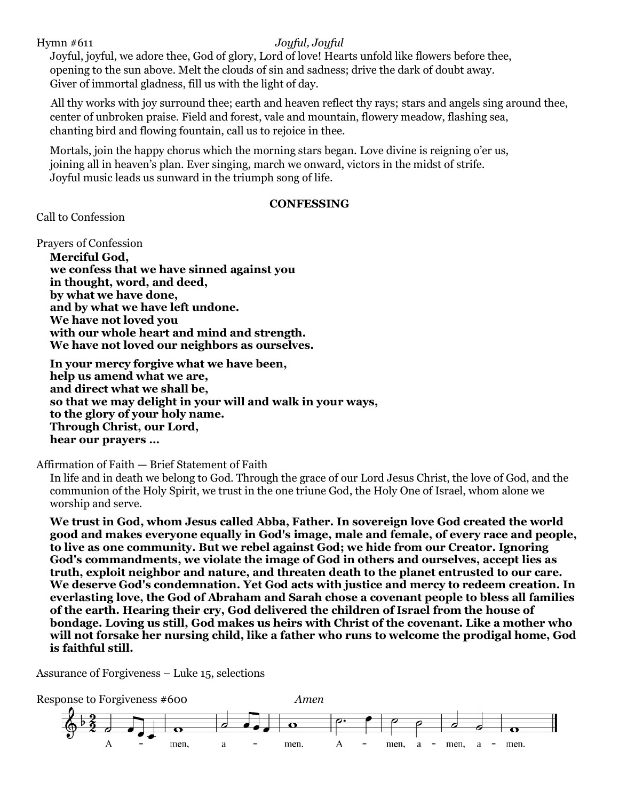# Hymn #611 *Joyful, Joyful*

Joyful, joyful, we adore thee, God of glory, Lord of love! Hearts unfold like flowers before thee, opening to the sun above. Melt the clouds of sin and sadness; drive the dark of doubt away. Giver of immortal gladness, fill us with the light of day.

All thy works with joy surround thee; earth and heaven reflect thy rays; stars and angels sing around thee, center of unbroken praise. Field and forest, vale and mountain, flowery meadow, flashing sea, chanting bird and flowing fountain, call us to rejoice in thee.

Mortals, join the happy chorus which the morning stars began. Love divine is reigning o'er us, joining all in heaven's plan. Ever singing, march we onward, victors in the midst of strife. Joyful music leads us sunward in the triumph song of life.

## **CONFESSING**

Call to Confession

Prayers of Confession **Merciful God, we confess that we have sinned against you in thought, word, and deed, by what we have done, and by what we have left undone. We have not loved you with our whole heart and mind and strength. We have not loved our neighbors as ourselves.**

**In your mercy forgive what we have been, help us amend what we are, and direct what we shall be, so that we may delight in your will and walk in your ways, to the glory of your holy name. Through Christ, our Lord, hear our prayers …**

Affirmation of Faith — Brief Statement of Faith

In life and in death we belong to God. Through the grace of our Lord Jesus Christ, the love of God, and the communion of the Holy Spirit, we trust in the one triune God, the Holy One of Israel, whom alone we worship and serve.

**We trust in God, whom Jesus called Abba, Father. In sovereign love God created the world good and makes everyone equally in God's image, male and female, of every race and people, to live as one community. But we rebel against God; we hide from our Creator. Ignoring God's commandments, we violate the image of God in others and ourselves, accept lies as truth, exploit neighbor and nature, and threaten death to the planet entrusted to our care. We deserve God's condemnation. Yet God acts with justice and mercy to redeem creation. In everlasting love, the God of Abraham and Sarah chose a covenant people to bless all families of the earth. Hearing their cry, God delivered the children of Israel from the house of bondage. Loving us still, God makes us heirs with Christ of the covenant. Like a mother who will not forsake her nursing child, like a father who runs to welcome the prodigal home, God is faithful still.**

Assurance of Forgiveness – Luke 15, selections

Response to Forgiveness #600 *Amen*Ō men,  $\rm{a}$ men. A men, a men,  $a$ men.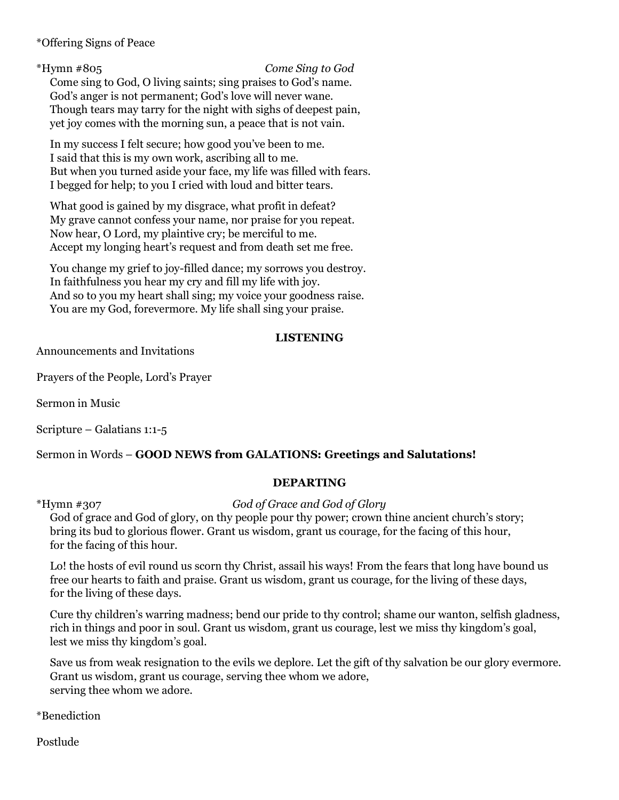\*Offering Signs of Peace

# \*Hymn #805 *Come Sing to God*

Come sing to God, O living saints; sing praises to God's name. God's anger is not permanent; God's love will never wane. Though tears may tarry for the night with sighs of deepest pain, yet joy comes with the morning sun, a peace that is not vain.

In my success I felt secure; how good you've been to me. I said that this is my own work, ascribing all to me. But when you turned aside your face, my life was filled with fears. I begged for help; to you I cried with loud and bitter tears.

What good is gained by my disgrace, what profit in defeat? My grave cannot confess your name, nor praise for you repeat. Now hear, O Lord, my plaintive cry; be merciful to me. Accept my longing heart's request and from death set me free.

You change my grief to joy-filled dance; my sorrows you destroy. In faithfulness you hear my cry and fill my life with joy. And so to you my heart shall sing; my voice your goodness raise. You are my God, forevermore. My life shall sing your praise.

# **LISTENING**

Announcements and Invitations

Prayers of the People, Lord's Prayer

Sermon in Music

Scripture – Galatians 1:1-5

Sermon in Words – **GOOD NEWS from GALATIONS: Greetings and Salutations!**

# **DEPARTING**

# \*Hymn #307 *God of Grace and God of Glory*

God of grace and God of glory, on thy people pour thy power; crown thine ancient church's story; bring its bud to glorious flower. Grant us wisdom, grant us courage, for the facing of this hour, for the facing of this hour.

Lo! the hosts of evil round us scorn thy Christ, assail his ways! From the fears that long have bound us free our hearts to faith and praise. Grant us wisdom, grant us courage, for the living of these days, for the living of these days.

Cure thy children's warring madness; bend our pride to thy control; shame our wanton, selfish gladness, rich in things and poor in soul. Grant us wisdom, grant us courage, lest we miss thy kingdom's goal, lest we miss thy kingdom's goal.

Save us from weak resignation to the evils we deplore. Let the gift of thy salvation be our glory evermore. Grant us wisdom, grant us courage, serving thee whom we adore, serving thee whom we adore.

\*Benediction

Postlude